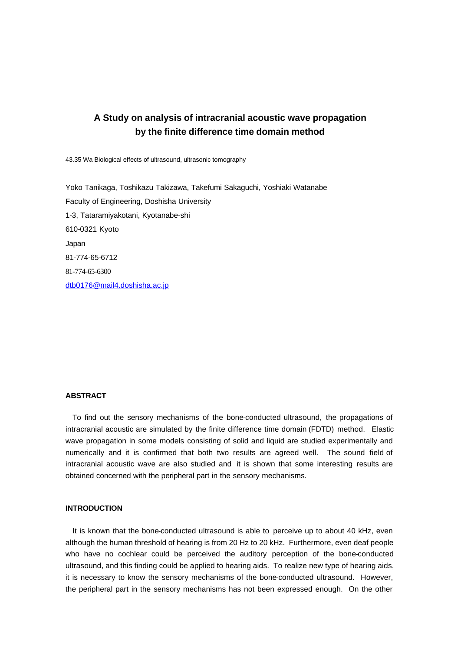# **A Study on analysis of intracranial acoustic wave propagation by the finite difference time domain method**

43.35 Wa Biological effects of ultrasound, ultrasonic tomography

Yoko Tanikaga, Toshikazu Takizawa, Takefumi Sakaguchi, Yoshiaki Watanabe Faculty of Engineering, Doshisha University 1-3, Tataramiyakotani, Kyotanabe-shi 610-0321 Kyoto Japan 81-774-65-6712 81-774-65-6300 dtb0176@mail4.doshisha.ac.jp

#### **ABSTRACT**

To find out the sensory mechanisms of the bone-conducted ultrasound, the propagations of intracranial acoustic are simulated by the finite difference time domain (FDTD) method. Elastic wave propagation in some models consisting of solid and liquid are studied experimentally and numerically and it is confirmed that both two results are agreed well. The sound field of intracranial acoustic wave are also studied and it is shown that some interesting results are obtained concerned with the peripheral part in the sensory mechanisms.

# **INTRODUCTION**

It is known that the bone-conducted ultrasound is able to perceive up to about 40 kHz, even although the human threshold of hearing is from 20 Hz to 20 kHz. Furthermore, even deaf people who have no cochlear could be perceived the auditory perception of the bone-conducted ultrasound, and this finding could be applied to hearing aids. To realize new type of hearing aids, it is necessary to know the sensory mechanisms of the bone-conducted ultrasound. However, the peripheral part in the sensory mechanisms has not been expressed enough. On the other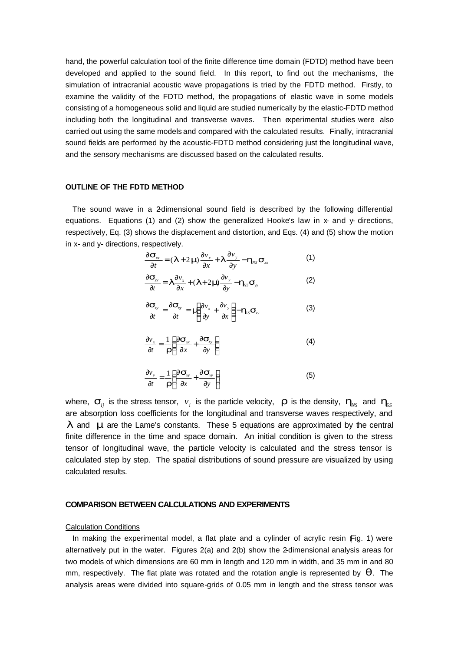hand, the powerful calculation tool of the finite difference time domain (FDTD) method have been developed and applied to the sound field. In this report, to find out the mechanisms, the simulation of intracranial acoustic wave propagations is tried by the FDTD method. Firstly, to examine the validity of the FDTD method, the propagations of elastic wave in some models consisting of a homogeneous solid and liquid are studied numerically by the elastic-FDTD method including both the longitudinal and transverse waves. Then experimental studies were also carried out using the same models and compared with the calculated results. Finally, intracranial sound fields are performed by the acoustic-FDTD method considering just the longitudinal wave, and the sensory mechanisms are discussed based on the calculated results.

## **OUTLINE OF THE FDTD METHOD**

The sound wave in a 2-dimensional sound field is described by the following differential equations. Equations (1) and (2) show the generalized Hooke's law in  $x$ - and  $y$ - directions, respectively, Eq. (3) shows the displacement and distortion, and Eqs. (4) and (5) show the motion in x- and y- directions, respectively.

$$
\frac{\partial \mathbf{s}_{xx}}{\partial t} = (\mathbf{I} + 2\mathbf{m}) \frac{\partial v_x}{\partial x} + \mathbf{I} \frac{\partial v_y}{\partial y} - \mathbf{h}_{NS} \mathbf{s}_{xx}
$$
 (1)

$$
\frac{\partial \mathbf{s}_{\scriptscriptstyle{yy}}}{\partial t} = \mathbf{I} \frac{\partial v_{\scriptscriptstyle{x}}}{\partial x} + (\mathbf{I} + 2\mathbf{m} \frac{\partial v_{\scriptscriptstyle{y}}}{\partial y} - \mathbf{h}_{\scriptscriptstyle{NS}} \mathbf{s}_{\scriptscriptstyle{yy}} \tag{2}
$$

$$
\frac{\partial \mathbf{s}_{xy}}{\partial t} = \frac{\partial \mathbf{s}_{xy}}{\partial t} = \mathbf{n} \left( \frac{\partial v_x}{\partial y} + \frac{\partial v_y}{\partial x} \right) - \mathbf{h}_s \mathbf{s}_{xy}
$$
(3)

$$
\frac{\partial v_x}{\partial t} = \frac{1}{r} \left( \frac{\partial s_x}{\partial x} + \frac{\partial s_y}{\partial y} \right)
$$
(4)

$$
\frac{\partial v_y}{\partial t} = \frac{1}{r} \left( \frac{\partial \mathbf{s}_y}{\partial x} + \frac{\partial \mathbf{s}_y}{\partial y} \right)
$$
(5)

where,  $\bm{s}_{_{ij}}$  is the stress tensor,  $\bm{\mathrm{v}}_i$  is the particle velocity,  $\bm{r}$  is the density,  $\bm{h}_{_{\!{NS}}}$  and  $\bm{h}_{_{\!{SS}}}$ are absorption loss coefficients for the longitudinal and transverse waves respectively, and *l* and *m* are the Lame's constants. These 5 equations are approximated by the central finite difference in the time and space domain. An initial condition is given to the stress tensor of longitudinal wave, the particle velocity is calculated and the stress tensor is calculated step by step. The spatial distributions of sound pressure are visualized by using calculated results.

# **COMPARISON BETWEEN CALCULATIONS AND EXPERIMENTS**

## Calculation Conditions

In making the experimental model, a flat plate and a cylinder of acrylic resin Fig. 1) were alternatively put in the water. Figures 2(a) and 2(b) show the 2-dimensional analysis areas for two models of which dimensions are 60 mm in length and 120 mm in width, and 35 mm in and 80 mm, respectively. The flat plate was rotated and the rotation angle is represented by *q*. The analysis areas were divided into square-grids of 0.05 mm in length and the stress tensor was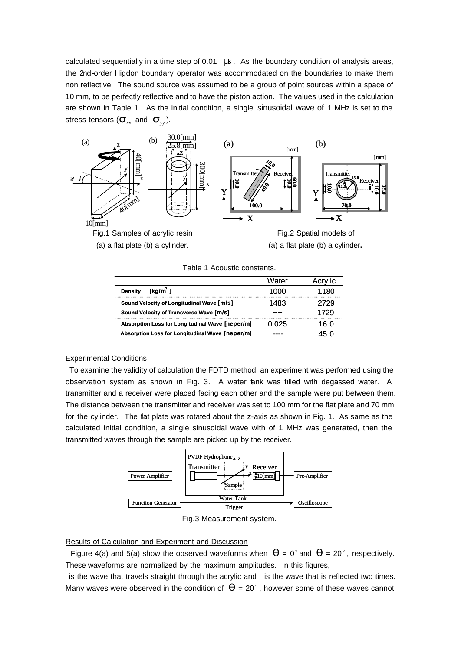calculated sequentially in a time step of 0.01 *ms*. As the boundary condition of analysis areas, the 2nd-order Higdon boundary operator was accommodated on the boundaries to make them non reflective. The sound source was assumed to be a group of point sources within a space of 10 mm, to be perfectly reflective and to have the piston action. The values used in the calculation are shown in Table 1. As the initial condition, a single sinusoidal wave of 1 MHz is set to the stress tensors  $(\mathbf{s}_{xx}^{\dagger}% ,\mathbf{s}_{xy}^{\dagger})$  and  $(\mathbf{s}_{yy}^{\dagger})$ .



(a) a flat plate (b) a cylinder.



| Table 1 Acoustic constants. |  |
|-----------------------------|--|
|-----------------------------|--|

|                                                 | Water | Acrylic |
|-------------------------------------------------|-------|---------|
| [kq/m <sup>3</sup> ]<br><b>Density</b>          | 1000  | 1180    |
| Sound Velocity of Longitudinal Wave [m/s]       | 1483  | 2729    |
| Sound Velocity of Transverse Wave [m/s]         |       | 1729    |
| Absorption Loss for Longitudinal Wave [neper/m] | 0.025 | 16.0    |
| Absorption Loss for Longitudinal Wave [neper/m] |       | 45.0    |

#### Experimental Conditions

 To examine the validity of calculation the FDTD method, an experiment was performed using the observation system as shown in Fig. 3. A water tank was filled with degassed water. A transmitter and a receiver were placed facing each other and the sample were put between them. The distance between the transmitter and receiver was set to 100 mm for the flat plate and 70 mm for the cylinder. The flat plate was rotated about the z-axis as shown in Fig. 1. As same as the calculated initial condition, a single sinusoidal wave with of 1 MHz was generated, then the transmitted waves through the sample are picked up by the receiver.



Fig.3 Measurement system.

# Results of Calculation and Experiment and Discussion

Figure 4(a) and 5(a) show the observed waveforms when  $q = 0^{\circ}$  and  $q = 20^{\circ}$ , respectively. These waveforms are normalized by the maximum amplitudes. In this figures,

is the wave that travels straight through the acrylic and is the wave that is reflected two times. Many waves were observed in the condition of  $q =$  20°, however some of these waves cannot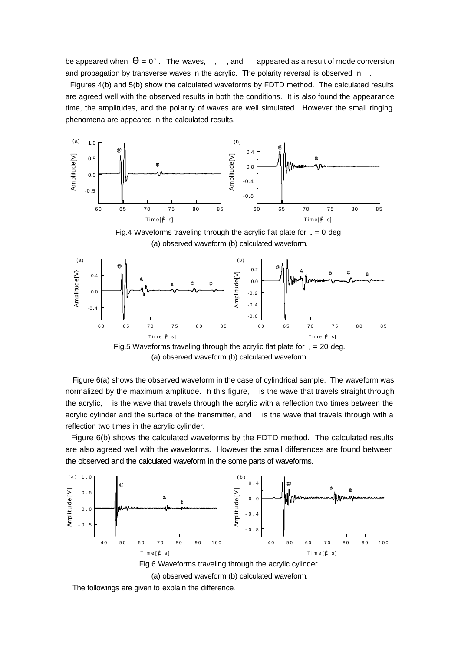be appeared when  $\bm{q}$  = 0 $^{\circ}$  . The waves,  $^{-}$  , and  $^{-}$  , appeared as a result of mode conversion and propagation by transverse waves in the acrylic. The polarity reversal is observed in

 Figures 4(b) and 5(b) show the calculated waveforms by FDTD method. The calculated results are agreed well with the observed results in both the conditions. It is also found the appearance time, the amplitudes, and the polarity of waves are well simulated. However the small ringing phenomena are appeared in the calculated results.



Fig.4 Waveforms traveling through the acrylic flat plate for  $= 0$  deg. (a) observed waveform (b) calculated waveform.



(a) observed waveform (b) calculated waveform.

Figure 6(a) shows the observed waveform in the case of cylindrical sample. The waveform was normalized by the maximum amplitude. h this figure, is the wave that travels straight through the acrylic, is the wave that travels through the acrylic with a reflection two times between the acrylic cylinder and the surface of the transmitter, and is the wave that travels through with a reflection two times in the acrylic cylinder.

 Figure 6(b) shows the calculated waveforms by the FDTD method. The calculated results are also agreed well with the waveforms. However the small differences are found between the observed and the calculated waveform in the some parts of waveforms.



(a) observed waveform (b) calculated waveform.

The followings are given to explain the difference.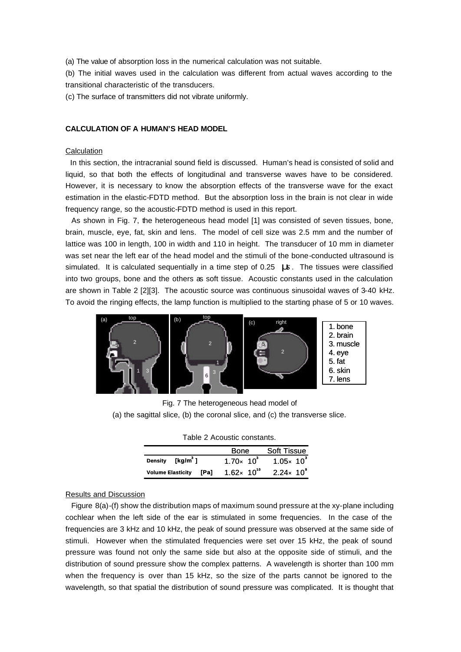(a) The value of absorption loss in the numerical calculation was not suitable.

(b) The initial waves used in the calculation was different from actual waves according to the transitional characteristic of the transducers.

(c) The surface of transmitters did not vibrate uniformly.

#### **CALCULATION OF A HUMAN'S HEAD MODEL**

# **Calculation**

 In this section, the intracranial sound field is discussed. Human's head is consisted of solid and liquid, so that both the effects of longitudinal and transverse waves have to be considered. However, it is necessary to know the absorption effects of the transverse wave for the exact estimation in the elastic-FDTD method. But the absorption loss in the brain is not clear in wide frequency range, so the acoustic-FDTD method is used in this report.

 As shown in Fig. 7, the heterogeneous head model [1] was consisted of seven tissues, bone, brain, muscle, eye, fat, skin and lens. The model of cell size was 2.5 mm and the number of lattice was 100 in length, 100 in width and 110 in height. The transducer of 10 mm in diameter was set near the left ear of the head model and the stimuli of the bone-conducted ultrasound is simulated. It is calculated sequentially in a time step of 0.25 *ms*. The tissues were classified into two groups, bone and the others as soft tissue. Acoustic constants used in the calculation are shown in Table 2 [2][3]. The acoustic source was continuous sinusoidal waves of 3-40 kHz. To avoid the ringing effects, the lamp function is multiplied to the starting phase of 5 or 10 waves.



Fig. 7 The heterogeneous head model of (a) the sagittal slice, (b) the coronal slice, and (c) the transverse slice.

| Table 2 Acoustic constants. |                    |
|-----------------------------|--------------------|
| <b>Bone</b>                 | <b>Soft Tissue</b> |

|                              |        | <b>DUIE</b>           | <b>SOIL LISSUE</b>   |
|------------------------------|--------|-----------------------|----------------------|
| Density [kg/m <sup>3</sup> ] |        | $1.70 \times 10^{3}$  | $1.05 \times 10^{3}$ |
| <b>Volume Elasticity</b>     | - [Pal | $1.62 \times 10^{10}$ | $2.24 \times 10^{9}$ |

#### Results and Discussion

 Figure 8(a)-(f) show the distribution maps of maximum sound pressure at the xy-plane including cochlear when the left side of the ear is stimulated in some frequencies. In the case of the frequencies are 3 kHz and 10 kHz, the peak of sound pressure was observed at the same side of stimuli. However when the stimulated frequencies were set over 15 kHz, the peak of sound pressure was found not only the same side but also at the opposite side of stimuli, and the distribution of sound pressure show the complex patterns. A wavelength is shorter than 100 mm when the frequency is over than 15 kHz, so the size of the parts cannot be ignored to the wavelength, so that spatial the distribution of sound pressure was complicated. It is thought that